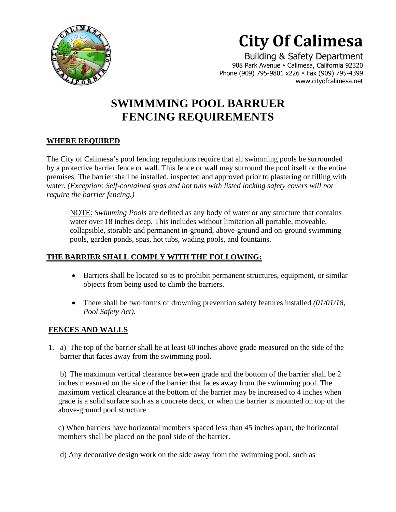

# **City Of Calimesa**

 Building & Safety Department 908 Park Avenue • Calimesa, California 92320 Phone (909) 795-9801 x226 ⬧ Fax (909) 795-4399 www.cityofcalimesa.net

# **SWIMMMING POOL BARRUER FENCING REQUIREMENTS**

# **WHERE REQUIRED**

The City of Calimesa's pool fencing regulations require that all swimming pools be surrounded by a protective barrier fence or wall. This fence or wall may surround the pool itself or the entire premises. The barrier shall be installed, inspected and approved prior to plastering or filling with water. *(Exception: Self-contained spas and hot tubs with listed locking safety covers will not require the barrier fencing.)*

NOTE: *Swimming Pools* are defined as any body of water or any structure that contains water over 18 inches deep. This includes without limitation all portable, moveable, collapsible, storable and permanent in-ground, above-ground and on-ground swimming pools, garden ponds, spas, hot tubs, wading pools, and fountains.

## **THE BARRIER SHALL COMPLY WITH THE FOLLOWING:**

- Barriers shall be located so as to prohibit permanent structures, equipment, or similar objects from being used to climb the barriers.
- There shall be two forms of drowning prevention safety features installed *(01/01/18; Pool Safety Act).*

#### **FENCES AND WALLS**

1. a) The top of the barrier shall be at least 60 inches above grade measured on the side of the barrier that faces away from the swimming pool.

b) The maximum vertical clearance between grade and the bottom of the barrier shall be 2 inches measured on the side of the barrier that faces away from the swimming pool. The maximum vertical clearance at the bottom of the barrier may be increased to 4 inches when grade is a solid surface such as a concrete deck, or when the barrier is mounted on top of the above-ground pool structure

c) When barriers have horizontal members spaced less than 45 inches apart, the horizontal members shall be placed on the pool side of the barrier.

d) Any decorative design work on the side away from the swimming pool, such as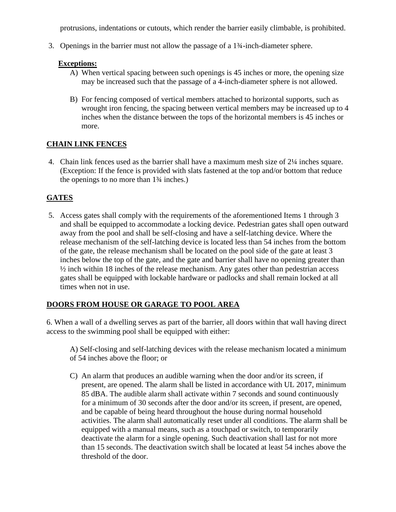protrusions, indentations or cutouts, which render the barrier easily climbable, is prohibited.

3. Openings in the barrier must not allow the passage of a 1¾-inch-diameter sphere.

#### **Exceptions:**

- A) When vertical spacing between such openings is 45 inches or more, the opening size may be increased such that the passage of a 4-inch-diameter sphere is not allowed.
- B) For fencing composed of vertical members attached to horizontal supports, such as wrought iron fencing, the spacing between vertical members may be increased up to 4 inches when the distance between the tops of the horizontal members is 45 inches or more.

#### **CHAIN LINK FENCES**

4. Chain link fences used as the barrier shall have a maximum mesh size of 2¼ inches square. (Exception: If the fence is provided with slats fastened at the top and/or bottom that reduce the openings to no more than 1¾ inches.)

### **GATES**

5. Access gates shall comply with the requirements of the aforementioned Items 1 through 3 and shall be equipped to accommodate a locking device. Pedestrian gates shall open outward away from the pool and shall be self-closing and have a self-latching device. Where the release mechanism of the self-latching device is located less than 54 inches from the bottom of the gate, the release mechanism shall be located on the pool side of the gate at least 3 inches below the top of the gate, and the gate and barrier shall have no opening greater than ½ inch within 18 inches of the release mechanism. Any gates other than pedestrian access gates shall be equipped with lockable hardware or padlocks and shall remain locked at all times when not in use.

# **DOORS FROM HOUSE OR GARAGE TO POOL AREA**

6. When a wall of a dwelling serves as part of the barrier, all doors within that wall having direct access to the swimming pool shall be equipped with either:

A) Self-closing and self-latching devices with the release mechanism located a minimum of 54 inches above the floor; or

C) An alarm that produces an audible warning when the door and/or its screen, if present, are opened. The alarm shall be listed in accordance with UL 2017, minimum 85 dBA. The audible alarm shall activate within 7 seconds and sound continuously for a minimum of 30 seconds after the door and/or its screen, if present, are opened, and be capable of being heard throughout the house during normal household activities. The alarm shall automatically reset under all conditions. The alarm shall be equipped with a manual means, such as a touchpad or switch, to temporarily deactivate the alarm for a single opening. Such deactivation shall last for not more than 15 seconds. The deactivation switch shall be located at least 54 inches above the threshold of the door.